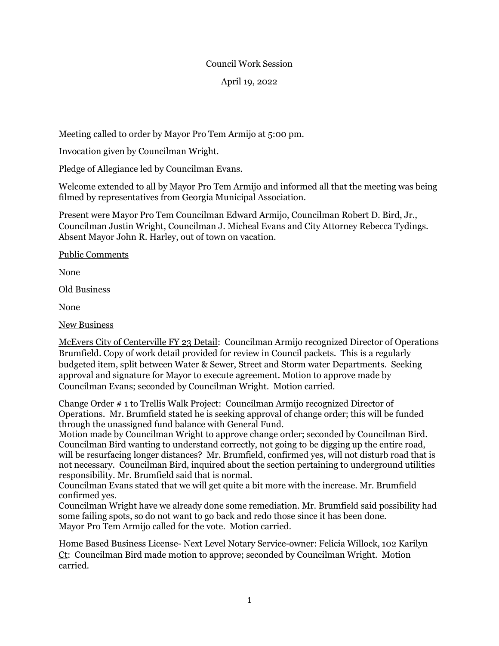## Council Work Session

April 19, 2022

Meeting called to order by Mayor Pro Tem Armijo at 5:00 pm.

Invocation given by Councilman Wright.

Pledge of Allegiance led by Councilman Evans.

Welcome extended to all by Mayor Pro Tem Armijo and informed all that the meeting was being filmed by representatives from Georgia Municipal Association.

Present were Mayor Pro Tem Councilman Edward Armijo, Councilman Robert D. Bird, Jr., Councilman Justin Wright, Councilman J. Micheal Evans and City Attorney Rebecca Tydings. Absent Mayor John R. Harley, out of town on vacation.

Public Comments

None

Old Business

None

New Business

McEvers City of Centerville FY 23 Detail: Councilman Armijo recognized Director of Operations Brumfield. Copy of work detail provided for review in Council packets. This is a regularly budgeted item, split between Water & Sewer, Street and Storm water Departments. Seeking approval and signature for Mayor to execute agreement. Motion to approve made by Councilman Evans; seconded by Councilman Wright. Motion carried.

Change Order # 1 to Trellis Walk Project: Councilman Armijo recognized Director of Operations. Mr. Brumfield stated he is seeking approval of change order; this will be funded through the unassigned fund balance with General Fund.

Motion made by Councilman Wright to approve change order; seconded by Councilman Bird. Councilman Bird wanting to understand correctly, not going to be digging up the entire road, will be resurfacing longer distances? Mr. Brumfield, confirmed yes, will not disturb road that is not necessary. Councilman Bird, inquired about the section pertaining to underground utilities responsibility. Mr. Brumfield said that is normal.

Councilman Evans stated that we will get quite a bit more with the increase. Mr. Brumfield confirmed yes.

Councilman Wright have we already done some remediation. Mr. Brumfield said possibility had some failing spots, so do not want to go back and redo those since it has been done. Mayor Pro Tem Armijo called for the vote. Motion carried.

Home Based Business License- Next Level Notary Service-owner: Felicia Willock, 102 Karilyn Ct: Councilman Bird made motion to approve; seconded by Councilman Wright. Motion carried.